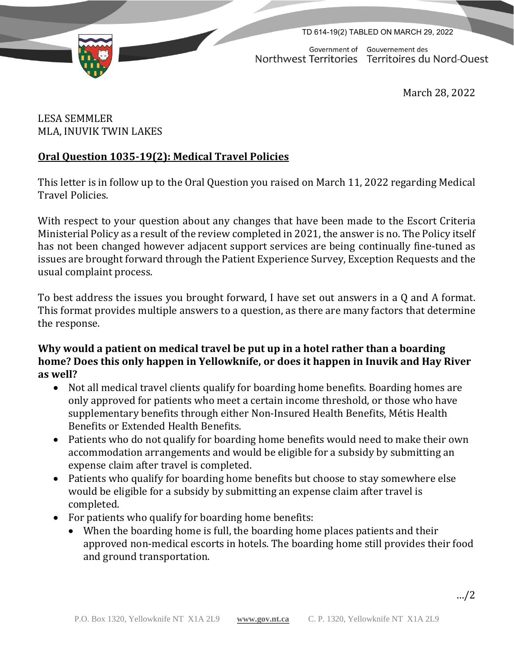



Government of Gouvernement des Northwest Territories Territoires du Nord-Ouest

March 28, 2022

## LESA SEMMLER MLA, INUVIK TWIN LAKES

# **Oral Question 1035-19(2): Medical Travel Policies**

This letter is in follow up to the Oral Question you raised on March 11, 2022 regarding Medical Travel Policies.

With respect to your question about any changes that have been made to the Escort Criteria Ministerial Policy as a result of the review completed in 2021, the answer is no. The Policy itself has not been changed however adjacent support services are being continually fine-tuned as issues are brought forward through the Patient Experience Survey, Exception Requests and the usual complaint process.

To best address the issues you brought forward, I have set out answers in a Q and A format. This format provides multiple answers to a question, as there are many factors that determine the response.

### **Why would a patient on medical travel be put up in a hotel rather than a boarding home? Does this only happen in Yellowknife, or does it happen in Inuvik and Hay River as well?**

- Not all medical travel clients qualify for boarding home benefits. Boarding homes are only approved for patients who meet a certain income threshold, or those who have supplementary benefits through either Non-Insured Health Benefits, Métis Health Benefits or Extended Health Benefits.
- Patients who do not qualify for boarding home benefits would need to make their own accommodation arrangements and would be eligible for a subsidy by submitting an expense claim after travel is completed.
- Patients who qualify for boarding home benefits but choose to stay somewhere else would be eligible for a subsidy by submitting an expense claim after travel is completed.
- For patients who qualify for boarding home benefits:
	- When the boarding home is full, the boarding home places patients and their approved non-medical escorts in hotels. The boarding home still provides their food and ground transportation.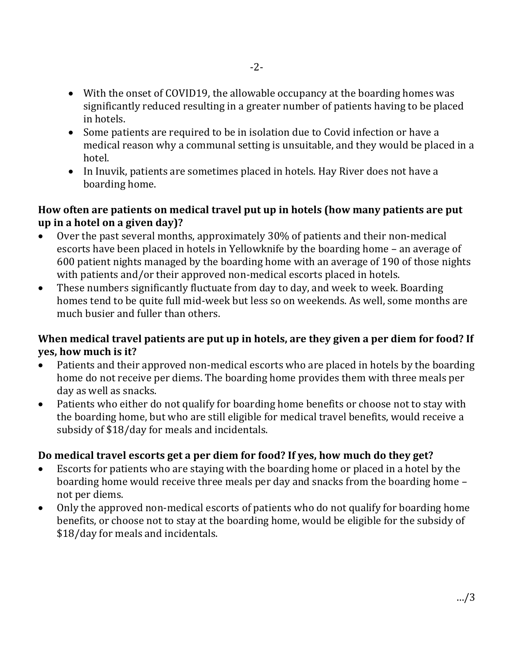- With the onset of COVID19, the allowable occupancy at the boarding homes was significantly reduced resulting in a greater number of patients having to be placed in hotels.
- Some patients are required to be in isolation due to Covid infection or have a medical reason why a communal setting is unsuitable, and they would be placed in a hotel.
- In Inuvik, patients are sometimes placed in hotels. Hay River does not have a boarding home.

### **How often are patients on medical travel put up in hotels (how many patients are put up in a hotel on a given day)?**

- Over the past several months, approximately 30% of patients and their non-medical escorts have been placed in hotels in Yellowknife by the boarding home – an average of 600 patient nights managed by the boarding home with an average of 190 of those nights with patients and/or their approved non-medical escorts placed in hotels.
- These numbers significantly fluctuate from day to day, and week to week. Boarding homes tend to be quite full mid-week but less so on weekends. As well, some months are much busier and fuller than others.

#### **When medical travel patients are put up in hotels, are they given a per diem for food? If yes, how much is it?**

- Patients and their approved non-medical escorts who are placed in hotels by the boarding home do not receive per diems. The boarding home provides them with three meals per day as well as snacks.
- Patients who either do not qualify for boarding home benefits or choose not to stay with the boarding home, but who are still eligible for medical travel benefits, would receive a subsidy of \$18/day for meals and incidentals.

## **Do medical travel escorts get a per diem for food? If yes, how much do they get?**

- Escorts for patients who are staying with the boarding home or placed in a hotel by the boarding home would receive three meals per day and snacks from the boarding home – not per diems.
- Only the approved non-medical escorts of patients who do not qualify for boarding home benefits, or choose not to stay at the boarding home, would be eligible for the subsidy of \$18/day for meals and incidentals.